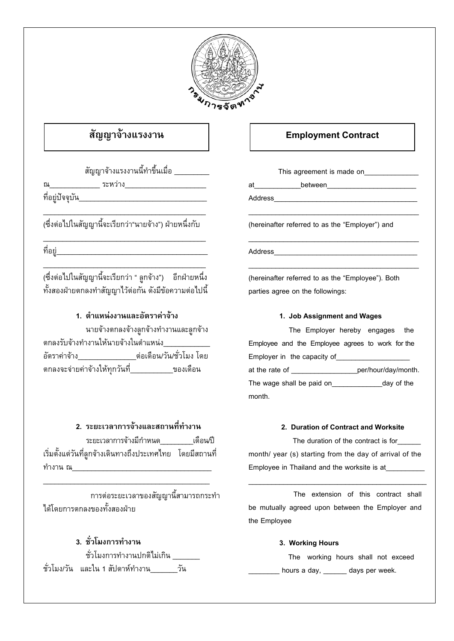

# สัญญาจ้างแรงงาน

สัญญาจ้างแรงงานนี้ทำขึ้นเมื่อ

(ซึ่งต่อไปในสัญญานี้จะเรียกว่า"นายจ้าง") ฝ่ายหนึ่งกับ

(ซึ่งต่อไปในสัญญานี้จะเรียกว่า " ลูกจ้าง") อีกฝ่ายหนึ่ง ทั้งสองฝ่ายตกลงทำสัญญาไว้ต่อกัน ดังมีข้อความต่อไปนี้

## 1 ตำแหน่งงานและอัตราด่าจ้าง

นายจ้างตกลงจ้างลูกจ้างทำงานและลูกจ้าง ตกลงรับจ้างทำงานให้นายจ้างในตำแหน่ง ็ตกลงจะจ่ายค่าจ้างให้ทุกวันที่\_\_\_\_\_\_\_\_\_\_\_ของเดือน

## 2. ระยะเวลาการจ้างและสถานที่ทำงาน

ระยะเวลาการจ้างมีกำหนด \_\_\_\_\_\_เดือนปี เริ่มตั้งแต่วันที่ลูกจ้างเดินทางถึงประเทศไทย โดยมีสถานที่ ทำงาน ณ

การต่อระยะเวลาของสัญญานี้สามารถกระทำ ได้โดยการตกลงของทั้งสองฝ่าย

## 3 ชั่วโมงการทำงาน

| ชั่วโมงการทำงานปกติไม่เกิน       |     |  |
|----------------------------------|-----|--|
| ชั่วโมง/วัน และใน 1 สัปดาห์ทำงาน | วัน |  |

## **Employment Contract**

This agreement is made on\_\_\_\_\_\_\_\_\_\_\_\_\_\_

at between

Address

(hereinafter referred to as the "Emplover") and

Address and the contract of the contract of the contract of the contract of the contract of the contract of the contract of the contract of the contract of the contract of the contract of the contract of the contract of the

(hereinafter referred to as the "Employee"). Both parties agree on the followings:

### 1. Job Assignment and Wages

The Employer hereby engages the Employee and the Employee agrees to work for the Employer in the capacity of at the rate of \_\_\_\_\_\_\_\_\_\_\_\_\_\_\_\_\_\_\_\_\_per/hour/day/month. The wage shall be paid on day of the month.

### 2. Duration of Contract and Worksite

The duration of the contract is for month/ year (s) starting from the day of arrival of the Employee in Thailand and the worksite is at

The extension of this contract shall be mutually agreed upon between the Employer and the Employee

### 3. Working Hours

The working hours shall not exceed hours a day, extendays per week.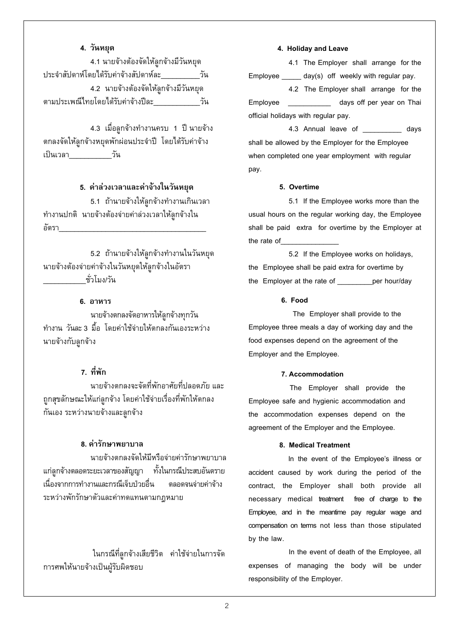#### **4. วันหยุด**

 4.1 นายจางตองจัดใหลูกจางมีวันหยุด ประจําสัปดาหโดยไดรับคาจางสัปดาหละ\_\_\_\_\_\_\_\_\_\_วัน 4.2 นายจ้างต้องจัดให้ลูกจ้างมีวันหยุด ตามประเพณีไทยโดยไดรับคาจางปละ\_\_\_\_\_\_\_\_\_\_\_\_วัน

่ 4.3 เมื่อลูกจ้างทำงานครบ 1 ปี นายจ้าง ตกลงจัดให้ลูกจ้างหยุดพักผ่อนประจำปี โดยได้รับค่าจ้าง เปนเวลา\_\_\_\_\_\_\_\_\_\_\_วัน

#### **5. คาลวงเวลาและคาจางในวันหยุด**

5.1 ถ้านายจ้างให้ลูกจ้างทำงานเกินเวลา ทํางานปกติ นายจางตองจายคาลวงเวลาใหลูกจางใน อัตรา

5.2 ถ้านายจ้างให้ลูกจ้างทำงานในวันหยุด นายจางตองจายคาจางในวันหยุดใหลูกจางในอัตรา ชั่วโมง/วัน

#### **6. อาหาร**

 นายจางตกลงจัดอาหารใหลูกจางทุกวัน ทํางาน วันละ 3 มื้อ โดยคาใชจายให ตกลงกันเองระหวาง นายจ้างกับลูกจ้าง

## **7. ที่พัก**

 นายจางตกลงจะจัดที่พักอาศัยที่ปลอดภัย และ ถกสขลักษณะให้แก่ลกจ้าง โดยค่าใช้จ่ายเรื่องที่พักให้ตกลง กันเอง ระหว่างนายจ้างและลูกจ้าง

#### **8. คารักษาพยาบาล**

 นายจางตกลงจัดใหมีหรือจายคารักษาพยาบาล แกลูกจางตลอดระยะเวลาของสัญญา ทั้งในกรณีประสบอันตราย เนื่องจากการทำงานและกรณีเจ็บป่วยอื่น ตลอดจนจ่ายค่าจ้าง ระหวางพักรักษาตัวและคาทดแทนตามกฎหมาย

 ในกรณีที่ลูกจางเสียชีวิต คาใชจายในการจัด การศพให้นายจ้างเป็นผู้รับผิดชอบ

#### **4. Holiday and Leave**

 4.1 The Employer shall arrange for the Employee \_\_\_\_\_ day(s) off weekly with regular pay.

 4.2 The Employer shall arrange for the Employee \_\_\_\_\_\_\_\_\_\_\_ days off per year on Thai official holidays with regular pay.

 4.3 Annual leave of \_\_\_\_\_\_\_\_\_\_ days shall be allowed by the Employer for the Employee when completed one year employment with regular pay.

#### **5. Overtime**

 5.1 If the Employee works more than the usual hours on the regular working day, the Employee shall be paid extra for overtime by the Employer at the rate of

 5.2 If the Employee works on holidays, the Employee shall be paid extra for overtime by the Employer at the rate of example report hour/day

#### **6. Food**

 The Employer shall provide to the Employee three meals a day of working day and the food expenses depend on the agreement of the Employer and the Employee.

#### **7. Accommodation**

The Employer shall provide the Employee safe and hygienic accommodation and the accommodation expenses depend on the agreement of the Employer and the Employee.

#### **8. Medical Treatment**

 In the event of the Employee's illness or accident caused by work during the period of the contract, the Employer shall both provide all necessary medical treatment free of charge to the Employee, and in the meantime pay regular wage and compensation on terms not less than those stipulated by the law.

 In the event of death of the Employee, all expenses of managing the body will be under responsibility of the Employer.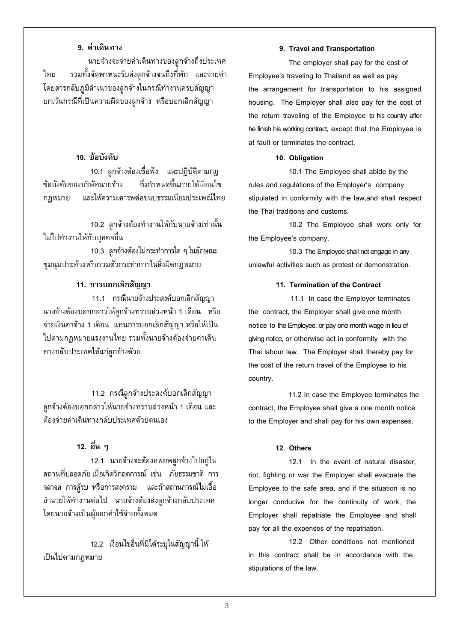### **9. คาเดินทาง**

 นายจางจะจายคาเดินทางของลูกจางถึงประเทศ ไทย รวมทั้งจัดพาหนะรับสงลูกจางจนถึงที่พัก และจายคา โดยสารกลับภูมิลําเนาของลูกจางในกรณีทํางานครบสัญญา ยกเวนกรณีที่เปนความผิดของลูกจาง หรือบอกเลิกสัญญา

## **10. ขอบังคับ**

 10.1 ลูกจางตองเช ื่อฟง และปฏิบัติตามกฎ ข้อบังคับของบริษัทนายจ้าง ซึ่งกำหนดขึ้นภายใต้เงื่อนไข กฎหมาย และใหความเคารพตอขนบธรรมเนียมประเพณีไทย

10.2 ลูกจ้างต้องทำงานให้กับนายจ้างเท่านั้น ไมไปทํางานใหก ับบุคคลอื่น

 10.3 ลูกจางตองไม กระทําการใด ๆ ในลักษณะ ชุมนุมประทวงหรือรวมตัวกระทําการในสิ่งผิดกฎหมาย

## **11. การบอกเลิกสัญญา**

11.1 กรณีนายจางประสงคบอกเลิกสัญญา นายจางตองบอกกลาวใหลูกจางทราบลวงหนา 1 เดือน หรือ จ่ายเงินค่าจ้าง 1 เดือน แทนการบอกเลิกสัญญา หรือให้เป็น ไปตามกฎหมายแรงงานไทย รวมทั้งนายจางตองจายคาเดิน ทางกลับประเทศให้แก่ลูกจ้างด้วย

 11.2 กรณีลูกจางประสงคบอกเลิกสัญญา ลูกจางตองบอกกลาวใหนายจางทราบลวงหนา 1 เดือน และ ตองจายคาเดินทางกลับประเทศดวยตนเอง

## **12. อื่น ๆ**

 12.1 นายจางจะตองอพยพลูกจางไปอยูใน สถานที่ปลอดภัย เมื่อเกิดวิกฤตการณ เชน ภยธรรมชาต ั ิการ จลาจล การสูรบ หรือการสงคราม และถาสถานการณไมเอื้อ อำนวยให้ทำงานต่อไป นายจ้างต้องส่งลูกจ้างกลับประเทศ โดยนายจ้างเป็นผู้ออกค่าใช้จ่ายทั้งหมด

 12.2 เงื่อนไขอื่นที่มิไดระบุในสัญญานี้ให เปนไปตามกฎหมาย

#### **9. Travel and Transportation**

 The employer shall pay for the cost of Employee's traveling to Thailand as well as pay the arrangement for transportation to his assigned housing. The Employer shall also pay for the cost of the return traveling of the Employee to his country after he finish his working contract, except that the Employee is at fault or terminates the contract.

#### **10. Obligation**

 10.1 The Employee shall abide by the rules and regulations of the Employer's company stipulated in conformity with the law,and shall respect the Thai traditions and customs.

 10.2 The Employee shall work only for the Employee's company.

 10.3 The Employee shall not engage in any unlawful activities such as protest or demonstration.

#### **11. Termination of the Contract**

 11.1 In case the Employer terminates the contract, the Employer shall give one month notice to the Employee, or pay one month wage in lieu of giving notice, or otherwise act in conformity with the Thai labour law. The Employer shall thereby pay for the cost of the return travel of the Employee to his country.

 11.2 In case the Employee terminates the contract, the Employee shall give a one month notice to the Employer and shall pay for his own expenses.

#### **12. Others**

 12.1 In the event of natural disaster, riot, fighting or war the Employer shall evacuate the Employee to the safe area, and if the situation is no longer conducive for the continuity of work, the Employer shall repatriate the Employee and shall pay for all the expenses of the repatriation.

 12.2 Other conditions not mentioned in this contract shall be in accordance with the stipulations of the law.